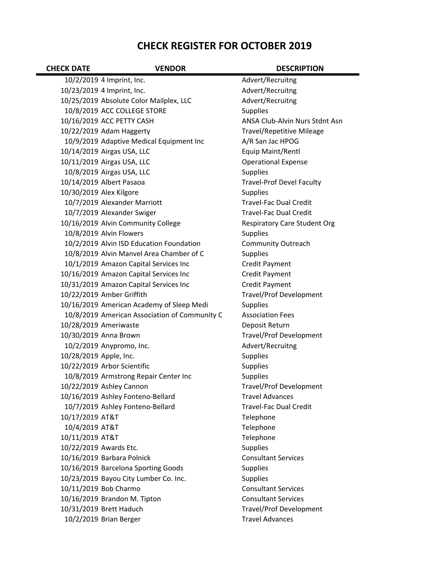## **CHECK REGISTER FOR OCTOBER 2019**

| <b>CHECK DATE</b>      | <b>VENDOR</b>                                 | <b>DESCRIPTION</b>                  |
|------------------------|-----------------------------------------------|-------------------------------------|
|                        | 10/2/2019 4 Imprint, Inc.                     | Advert/Recruitng                    |
|                        | 10/23/2019 4 Imprint, Inc.                    | Advert/Recruitng                    |
|                        | 10/25/2019 Absolute Color Mailplex, LLC       | Advert/Recruitng                    |
|                        | 10/8/2019 ACC COLLEGE STORE                   | <b>Supplies</b>                     |
|                        | 10/16/2019 ACC PETTY CASH                     | ANSA Club-Alvin Nurs Stdnt Asn      |
|                        | 10/22/2019 Adam Haggerty                      | <b>Travel/Repetitive Mileage</b>    |
|                        | 10/9/2019 Adaptive Medical Equipment Inc      | A/R San Jac HPOG                    |
|                        | 10/14/2019 Airgas USA, LLC                    | Equip Maint/Rentl                   |
|                        | 10/11/2019 Airgas USA, LLC                    | <b>Operational Expense</b>          |
|                        | 10/8/2019 Airgas USA, LLC                     | Supplies                            |
|                        | 10/14/2019 Albert Pasaoa                      | <b>Travel-Prof Devel Faculty</b>    |
|                        | 10/30/2019 Alex Kilgore                       | <b>Supplies</b>                     |
|                        | 10/7/2019 Alexander Marriott                  | <b>Travel-Fac Dual Credit</b>       |
|                        | 10/7/2019 Alexander Swiger                    | <b>Travel-Fac Dual Credit</b>       |
|                        | 10/16/2019 Alvin Community College            | <b>Respiratory Care Student Org</b> |
|                        | 10/8/2019 Alvin Flowers                       | Supplies                            |
|                        | 10/2/2019 Alvin ISD Education Foundation      | <b>Community Outreach</b>           |
|                        | 10/8/2019 Alvin Manvel Area Chamber of C      | <b>Supplies</b>                     |
|                        | 10/1/2019 Amazon Capital Services Inc         | <b>Credit Payment</b>               |
|                        | 10/16/2019 Amazon Capital Services Inc        | <b>Credit Payment</b>               |
|                        | 10/31/2019 Amazon Capital Services Inc        | <b>Credit Payment</b>               |
|                        | 10/22/2019 Amber Griffith                     | Travel/Prof Development             |
|                        | 10/16/2019 American Academy of Sleep Medi     | <b>Supplies</b>                     |
|                        | 10/8/2019 American Association of Community C | <b>Association Fees</b>             |
|                        | 10/28/2019 Ameriwaste                         | Deposit Return                      |
|                        | 10/30/2019 Anna Brown                         | <b>Travel/Prof Development</b>      |
|                        | 10/2/2019 Anypromo, Inc.                      | Advert/Recruitng                    |
| 10/28/2019 Apple, Inc. |                                               | Supplies                            |
|                        | 10/22/2019 Arbor Scientific                   | <b>Supplies</b>                     |
|                        | 10/8/2019 Armstrong Repair Center Inc         | Supplies                            |
|                        | 10/22/2019 Ashley Cannon                      | Travel/Prof Development             |
|                        | 10/16/2019 Ashley Fonteno-Bellard             | <b>Travel Advances</b>              |
|                        | 10/7/2019 Ashley Fonteno-Bellard              | <b>Travel-Fac Dual Credit</b>       |
| 10/17/2019 AT&T        |                                               | Telephone                           |
| 10/4/2019 AT&T         |                                               | Telephone                           |
| 10/11/2019 AT&T        |                                               | Telephone                           |
|                        | 10/22/2019 Awards Etc.                        | <b>Supplies</b>                     |
|                        | 10/16/2019 Barbara Polnick                    | <b>Consultant Services</b>          |
|                        | 10/16/2019 Barcelona Sporting Goods           | <b>Supplies</b>                     |
|                        | 10/23/2019 Bayou City Lumber Co. Inc.         | <b>Supplies</b>                     |
|                        | 10/11/2019 Bob Charmo                         | <b>Consultant Services</b>          |
|                        | 10/16/2019 Brandon M. Tipton                  | <b>Consultant Services</b>          |
|                        | 10/31/2019 Brett Haduch                       | Travel/Prof Development             |
|                        | 10/2/2019 Brian Berger                        | <b>Travel Advances</b>              |
|                        |                                               |                                     |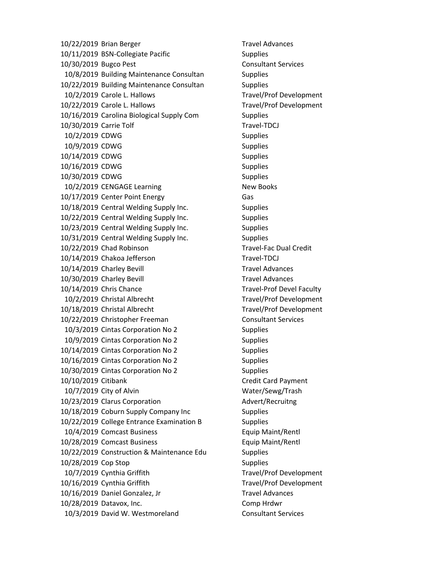10/22/2019 Brian Berger Travel Advances 10/11/2019 BSN-Collegiate Pacific Supplies 10/30/2019 Bugco Pest Consultant Services 10/8/2019 Building Maintenance Consultan Supplies 10/22/2019 Building Maintenance Consultan Supplies 10/2/2019 Carole L. Hallows Travel/Prof Development 10/22/2019 Carole L. Hallows Travel/Prof Development 10/16/2019 Carolina Biological Supply Com Supplies 10/30/2019 Carrie Tolf Travel-TDCJ 10/2/2019 CDWG Supplies 10/9/2019 CDWG Supplies 10/14/2019 CDWG Supplies 10/16/2019 CDWG Supplies 10/30/2019 CDWG Supplies 10/2/2019 CENGAGE Learning New Books 10/17/2019 Center Point Energy Gas 10/18/2019 Central Welding Supply Inc. Supplies 10/22/2019 Central Welding Supply Inc. Supplies 10/23/2019 Central Welding Supply Inc. Supplies 10/31/2019 Central Welding Supply Inc. Supplies 10/22/2019 Chad Robinson Travel‐Fac Dual Credit 10/14/2019 Chakoa Jefferson Travel-TDCJ 10/14/2019 Charley Bevill **Travel Advances** 10/30/2019 Charley Bevill **Travel Advances** 10/14/2019 Chris Chance Travel-Prof Devel Faculty 10/2/2019 Christal Albrecht Travel/Prof Development 10/18/2019 Christal Albrecht Travel/Prof Development 10/22/2019 Christopher Freeman Consultant Services 10/3/2019 Cintas Corporation No 2 Supplies 10/9/2019 Cintas Corporation No 2 Supplies 10/14/2019 Cintas Corporation No 2 Supplies 10/16/2019 Cintas Corporation No 2 Supplies 10/30/2019 Cintas Corporation No 2 Supplies 10/10/2019 Citibank Credit Card Payment 10/7/2019 City of Alvin Water/Sewg/Trash 10/23/2019 Clarus Corporation **Advert/Recruitng** 10/18/2019 Coburn Supply Company Inc Supplies 10/22/2019 College Entrance Examination B Supplies 10/4/2019 Comcast Business Equip Maint/Rentl 10/28/2019 Comcast Business Equip Maint/Rentl 10/22/2019 Construction & Maintenance Edu Supplies 10/28/2019 Cop Stop Supplies 10/7/2019 Cynthia Griffith Travel/Prof Development 10/16/2019 Cynthia Griffith Travel/Prof Development 10/16/2019 Daniel Gonzalez, Jr Travel Advances 10/28/2019 Datavox, Inc. Comp Hrdwr 10/3/2019 David W. Westmoreland Consultant Services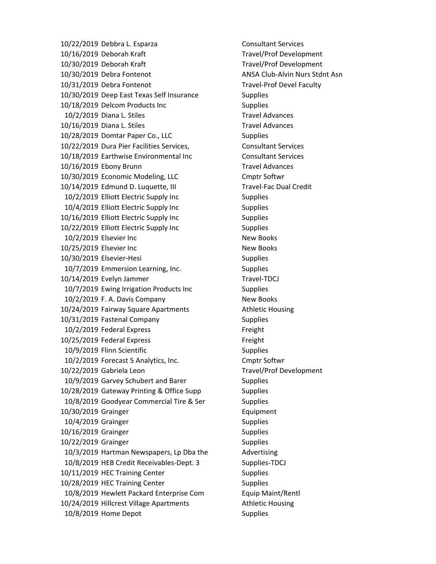10/22/2019 Debbra L. Esparza Consultant Services 10/16/2019 Deborah Kraft Travel/Prof Development 10/30/2019 Deborah Kraft Travel/Prof Development 10/30/2019 Debra Fontenot ANSA Club-Alvin Nurs Stdnt Asn 10/31/2019 Debra Fontenot Travel-Prof Devel Faculty 10/30/2019 Deep East Texas Self Insurance Supplies 10/18/2019 Delcom Products Inc Supplies 10/2/2019 Diana L. Stiles Travel Advances 10/16/2019 Diana L. Stiles Travel Advances 10/28/2019 Domtar Paper Co., LLC Supplies 10/22/2019 Dura Pier Facilities Services, Consultant Services 10/18/2019 Earthwise Environmental Inc Consultant Services 10/16/2019 Ebony Brunn Travel Advances 10/30/2019 Economic Modeling, LLC Cmptr Softwr 10/14/2019 Edmund D. Luquette, III Travel‐Fac Dual Credit 10/2/2019 Elliott Electric Supply Inc Supplies 10/4/2019 Elliott Electric Supply Inc Supplies 10/16/2019 Elliott Electric Supply Inc Supplies 10/22/2019 Elliott Electric Supply Inc Supplies 10/2/2019 Elsevier Inc New Books 10/25/2019 Elsevier Inc New Books 10/30/2019 Elsevier-Hesi Supplies 10/7/2019 Emmersion Learning, Inc. Supplies 10/14/2019 Evelyn Jammer Travel-TDCJ 10/7/2019 Ewing Irrigation Products Inc Supplies 10/2/2019 F. A. Davis Company New Books 10/24/2019 Fairway Square Apartments **Athletic Housing** 10/31/2019 Fastenal Company Supplies 10/2/2019 Federal Express Freight 10/25/2019 Federal Express Freight 10/9/2019 Flinn Scientific Supplies 10/2/2019 Forecast 5 Analytics, Inc. Cmptr Softwr 10/22/2019 Gabriela Leon Travel/Prof Development 10/9/2019 Garvey Schubert and Barer Supplies 10/28/2019 Gateway Printing & Office Supp Supplies 10/8/2019 Goodyear Commercial Tire & Ser Supplies 10/30/2019 Grainger Equipment 10/4/2019 Grainger Supplies 10/16/2019 Grainger Supplies 10/22/2019 Grainger Supplies 10/3/2019 Hartman Newspapers, Lp Dba the Advertising 10/8/2019 HEB Credit Receivables-Dept. 3 Supplies-TDCJ 10/11/2019 HEC Training Center Supplies 10/28/2019 HEC Training Center Supplies 10/8/2019 Hewlett Packard Enterprise Com Equip Maint/Rentl 10/24/2019 Hillcrest Village Apartments Athletic Housing 10/8/2019 Home Depot Supplies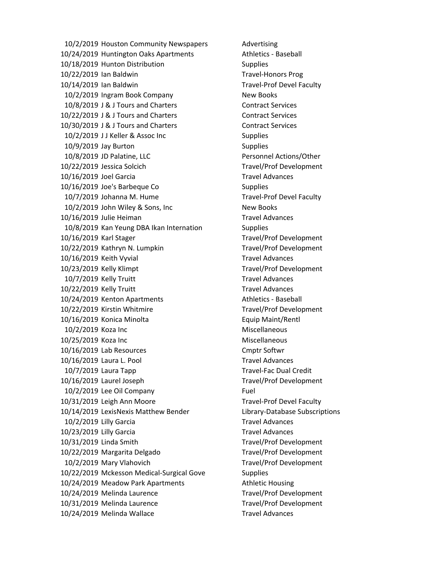10/2/2019 Houston Community Newspapers Advertising 10/24/2019 Huntington Oaks Apartments Athletics - Baseball 10/18/2019 Hunton Distribution Supplies 10/22/2019 Ian Baldwin Travel-Honors Prog 10/14/2019 Ian Baldwin Travel-Prof Devel Faculty 10/2/2019 Ingram Book Company New Books 10/8/2019 J & J Tours and Charters Contract Services 10/22/2019 J & J Tours and Charters Contract Services 10/30/2019 J & J Tours and Charters Contract Services 10/2/2019 JJ Keller & Assoc Inc Supplies 10/9/2019 Jay Burton Supplies 10/8/2019 JD Palatine, LLC Personnel Actions/Other 10/22/2019 Jessica Solcich Travel/Prof Development 10/16/2019 Joel Garcia **Travel Advances** 10/16/2019 Joe's Barbeque Co Supplies 10/7/2019 Johanna M. Hume Travel-Prof Devel Faculty 10/2/2019 John Wiley & Sons, Inc New Books 10/16/2019 Julie Heiman Travel Advances 10/8/2019 Kan Yeung DBA Ikan Internation Supplies 10/16/2019 Karl Stager Travel/Prof Development 10/22/2019 Kathryn N. Lumpkin Travel/Prof Development 10/16/2019 Keith Vyvial Travel Advances 10/23/2019 Kelly Klimpt Travel/Prof Development 10/7/2019 Kelly Truitt Travel Advances 10/22/2019 Kelly Truitt Travel Advances 10/24/2019 Kenton Apartments Athletics - Baseball 10/22/2019 Kirstin Whitmire Travel/Prof Development 10/16/2019 Konica Minolta Equip Maint/Rentl 10/2/2019 Koza Inc **Miscellaneous** Miscellaneous 10/25/2019 Koza Inc **Miscellaneous** Miscellaneous 10/16/2019 Lab Resources Cmptr Softwr 10/16/2019 Laura L. Pool Travel Advances 10/7/2019 Laura Tapp Travel-Fac Dual Credit 10/16/2019 Laurel Joseph Travel/Prof Development 10/2/2019 Lee Oil Company Fuel 10/31/2019 Leigh Ann Moore Travel‐Prof Devel Faculty 10/14/2019 LexisNexis Matthew Bender Library‐Database Subscriptions 10/2/2019 Lilly Garcia Travel Advances 10/23/2019 Lilly Garcia Travel Advances 10/31/2019 Linda Smith Travel/Prof Development 10/22/2019 Margarita Delgado Travel/Prof Development 10/2/2019 Mary Vlahovich Travel/Prof Development 10/22/2019 Mckesson Medical‐Surgical Gove Supplies 10/24/2019 Meadow Park Apartments Athletic Housing 10/24/2019 Melinda Laurence Travel/Prof Development 10/31/2019 Melinda Laurence Travel/Prof Development 10/24/2019 Melinda Wallace Travel Advances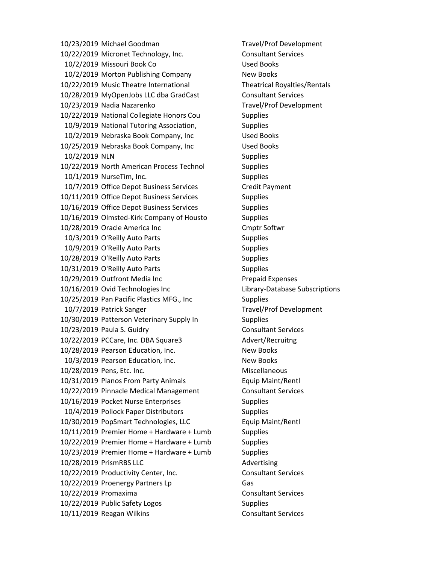10/23/2019 Michael Goodman Travel/Prof Development 10/22/2019 Micronet Technology, Inc. Consultant Services 10/2/2019 Missouri Book Co Used Books 10/2/2019 Morton Publishing Company New Books 10/22/2019 Music Theatre International Theatrical Royalties/Rentals 10/28/2019 MyOpenJobs LLC dba GradCast Consultant Services 10/23/2019 Nadia Nazarenko Travel/Prof Development 10/22/2019 National Collegiate Honors Cou Supplies 10/9/2019 National Tutoring Association, Supplies 10/2/2019 Nebraska Book Company, Inc Used Books 10/25/2019 Nebraska Book Company, Inc Used Books 10/2/2019 NLN Supplies 10/22/2019 North American Process Technol Supplies 10/1/2019 NurseTim, Inc. Supplies 10/7/2019 Office Depot Business Services Credit Payment 10/11/2019 Office Depot Business Services Supplies 10/16/2019 Office Depot Business Services Supplies 10/16/2019 Olmsted‐Kirk Company of Housto Supplies 10/28/2019 Oracle America Inc Cmptr Softwr 10/3/2019 O'Reilly Auto Parts Supplies 10/9/2019 O'Reilly Auto Parts Supplies 10/28/2019 O'Reilly Auto Parts Supplies 10/31/2019 O'Reilly Auto Parts Supplies 10/29/2019 Outfront Media Inc Prepaid Expenses 10/16/2019 Ovid Technologies Inc Library‐Database Subscriptions 10/25/2019 Pan Pacific Plastics MFG., Inc Supplies 10/7/2019 Patrick Sanger Travel/Prof Development 10/30/2019 Patterson Veterinary Supply In Supplies 10/23/2019 Paula S. Guidry Consultant Services 10/22/2019 PCCare, Inc. DBA Square3 Advert/Recruitng 10/28/2019 Pearson Education, Inc. New Books 10/3/2019 Pearson Education, Inc. New Books 10/28/2019 Pens, Etc. Inc. The Contract of Miscellaneous 10/31/2019 Pianos From Party Animals Equip Maint/Rentl 10/22/2019 Pinnacle Medical Management Consultant Services 10/16/2019 Pocket Nurse Enterprises Supplies 10/4/2019 Pollock Paper Distributors Supplies 10/30/2019 PopSmart Technologies, LLC Equip Maint/Rentl 10/11/2019 Premier Home + Hardware + Lumb Supplies 10/22/2019 Premier Home + Hardware + Lumb Supplies 10/23/2019 Premier Home + Hardware + Lumb Supplies 10/28/2019 PrismRBS LLC Advertising 10/22/2019 Productivity Center, Inc. Consultant Services 10/22/2019 Proenergy Partners Lp Gas 10/22/2019 Promaxima Consultant Services 10/22/2019 Public Safety Logos Supplies 10/11/2019 Reagan Wilkins **Consultant Services**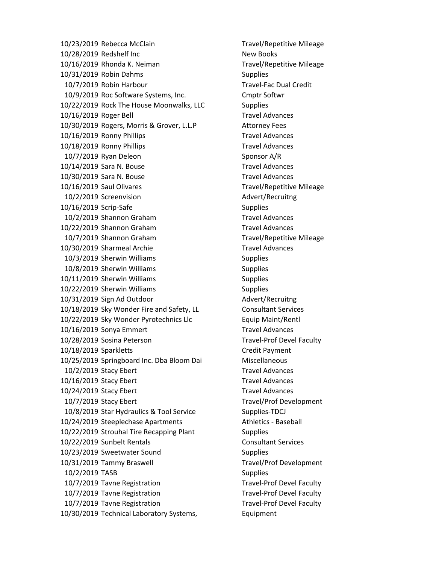10/23/2019 Rebecca McClain Travel/Repetitive Mileage 10/28/2019 Redshelf Inc New Books 10/16/2019 Rhonda K. Neiman Travel/Repetitive Mileage 10/31/2019 Robin Dahms Supplies 10/7/2019 Robin Harbour Travel-Fac Dual Credit 10/9/2019 Roc Software Systems, Inc. Cmptr Softwr 10/22/2019 Rock The House Moonwalks, LLC Supplies 10/16/2019 Roger Bell Travel Advances 10/30/2019 Rogers, Morris & Grover, L.L.P Attorney Fees 10/16/2019 Ronny Phillips Travel Advances 10/18/2019 Ronny Phillips Travel Advances 10/7/2019 Ryan Deleon Sponsor A/R 10/14/2019 Sara N. Bouse Travel Advances 10/30/2019 Sara N. Bouse Travel Advances 10/16/2019 Saul Olivares Travel/Repetitive Mileage 10/2/2019 Screenvision and a state of Advert/Recruitng 10/16/2019 Scrip-Safe Supplies 10/2/2019 Shannon Graham Travel Advances 10/22/2019 Shannon Graham Travel Advances 10/7/2019 Shannon Graham Travel/Repetitive Mileage 10/30/2019 Sharmeal Archie Travel Advances 10/3/2019 Sherwin Williams Supplies 10/8/2019 Sherwin Williams Supplies 10/11/2019 Sherwin Williams Supplies 10/22/2019 Sherwin Williams Supplies 10/31/2019 Sign Ad Outdoor Advert/Recruitng 10/18/2019 Sky Wonder Fire and Safety, LL Consultant Services 10/22/2019 Sky Wonder Pyrotechnics Llc Equip Maint/Rentl 10/16/2019 Sonya Emmert Travel Advances 10/28/2019 Sosina Peterson Travel‐Prof Devel Faculty 10/18/2019 Sparkletts Credit Payment 10/25/2019 Springboard Inc. Dba Bloom Dai Miscellaneous 10/2/2019 Stacy Ebert Travel Advances 10/16/2019 Stacy Ebert Travel Advances 10/24/2019 Stacy Ebert Travel Advances 10/7/2019 Stacy Ebert Travel/Prof Development 10/8/2019 Star Hydraulics & Tool Service Supplies-TDCJ 10/24/2019 Steeplechase Apartments Athletics - Baseball 10/22/2019 Strouhal Tire Recapping Plant Supplies 10/22/2019 Sunbelt Rentals Consultant Services 10/23/2019 Sweetwater Sound Supplies 10/31/2019 Tammy Braswell Travel/Prof Development 10/2/2019 TASB Supplies 10/7/2019 Tavne Registration Travel-Prof Devel Faculty 10/7/2019 Tavne Registration Travel-Prof Devel Faculty 10/7/2019 Tavne Registration Travel‐Prof Devel Faculty 10/30/2019 Technical Laboratory Systems, Equipment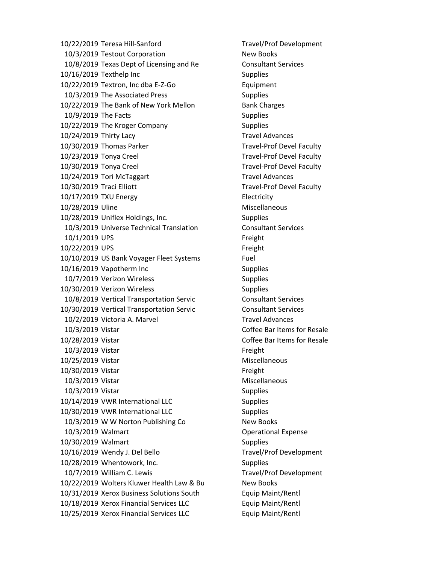10/22/2019 Teresa Hill‐Sanford Travel/Prof Development 10/3/2019 Testout Corporation New Books 10/8/2019 Texas Dept of Licensing and Re Consultant Services 10/16/2019 Texthelp Inc Supplies 10/22/2019 Textron, Inc dba E‐Z‐Go Equipment 10/3/2019 The Associated Press Supplies 10/22/2019 The Bank of New York Mellon Bank Charges 10/9/2019 The Facts Supplies 10/22/2019 The Kroger Company Supplies 10/24/2019 Thirty Lacy Travel Advances 10/30/2019 Thomas Parker Travel-Prof Devel Faculty 10/23/2019 Tonya Creel The Controller Creek Travel-Prof Devel Faculty 10/30/2019 Tonya Creel Travel-Prof Devel Faculty 10/24/2019 Tori McTaggart Travel Advances 10/30/2019 Traci Elliott Travel-Prof Devel Faculty 10/17/2019 TXU Energy Electricity 10/28/2019 Uline Miscellaneous 10/28/2019 Uniflex Holdings, Inc. Supplies 10/3/2019 Universe Technical Translation Consultant Services 10/1/2019 UPS Freight 10/22/2019 UPS Freight 10/10/2019 US Bank Voyager Fleet Systems Fuel 10/16/2019 Vapotherm Inc Supplies 10/7/2019 Verizon Wireless Supplies 10/30/2019 Verizon Wireless Supplies 10/8/2019 Vertical Transportation Servic Consultant Services 10/30/2019 Vertical Transportation Servic Consultant Services 10/2/2019 Victoria A. Marvel Travel Advances 10/3/2019 Vistar Coffee Bar Items for Resale 10/28/2019 Vistar Coffee Bar Items for Resale 10/3/2019 Vistar **Freight** 10/25/2019 Vistar Miscellaneous 10/30/2019 Vistar Freight 10/3/2019 Vistar Miscellaneous 10/3/2019 Vistar Supplies 10/14/2019 VWR International LLC Supplies 10/30/2019 VWR International LLC Supplies 10/3/2019 W W Norton Publishing Co New Books 10/3/2019 Walmart Operational Expense 10/30/2019 Walmart Supplies 10/16/2019 Wendy J. Del Bello Travel/Prof Development 10/28/2019 Whentowork, Inc. Supplies 10/7/2019 William C. Lewis Travel/Prof Development 10/22/2019 Wolters Kluwer Health Law & Bu New Books 10/31/2019 Xerox Business Solutions South Equip Maint/Rentl 10/18/2019 Xerox Financial Services LLC Equip Maint/Rentl 10/25/2019 Xerox Financial Services LLC Equip Maint/Rentl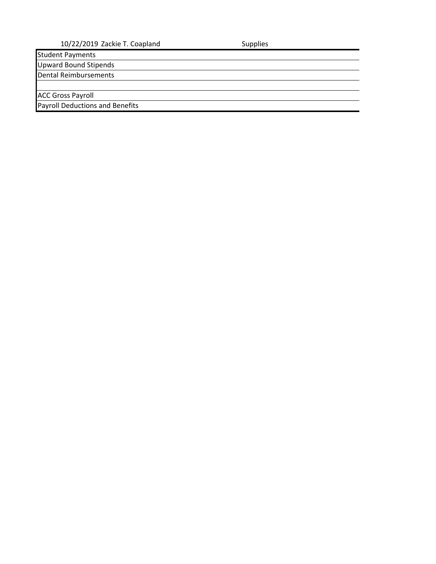Student Payments Upward Bound Stipends

Dental Reimbursements

ACC Gross Payroll

Payroll Deductions and Benefits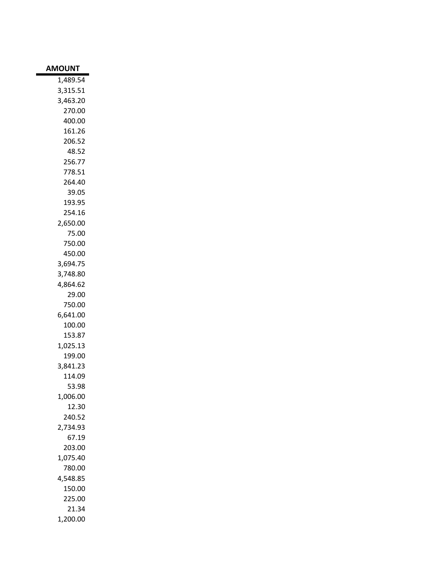| AMOUNT             |
|--------------------|
| 1.489.54           |
| 3,315.51           |
| 3,463.20           |
| 270.00             |
| 400.00             |
| 161.26             |
| 206.52             |
| 48.52              |
| 256.77             |
| 778.51             |
| 264.40             |
| 39.05              |
| 193.95             |
| 254.16             |
| 2,650.00           |
| 75.00              |
| 750.00             |
| 450.00             |
| 3,694.75           |
| 3,748.80           |
| 4,864.62           |
| 29.00              |
| 750.00             |
| 6,641.00           |
| 100.00             |
| 153.87             |
| 1,025.13           |
| 199.00             |
| 3,841.23           |
| 114.09             |
| 53.98              |
| 1,006.00           |
| 12.30              |
| 240.52             |
| 2.734.93           |
| 67.19              |
| 203.00             |
| 1,075.40           |
| 780.00<br>4,548.85 |
| 150.00             |
| 225.00             |
| 21.34              |
|                    |
| 1,200.00           |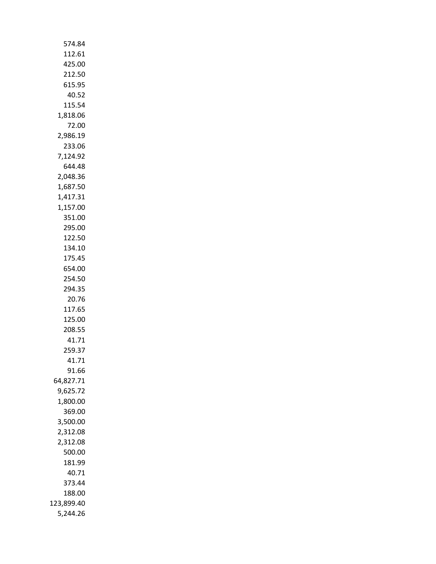| 574.84               |
|----------------------|
| 112.61               |
| 425.00               |
| 212.50               |
| 615.95               |
| 40.52                |
| 115.54               |
| 1,818.06             |
| 72.00                |
| 2,986.19             |
| 233.06               |
| 7,124.92             |
| 644.48               |
| 2,048.36             |
| 1,687.50             |
| 1,417.31             |
| 1,157.00             |
| 351.00               |
| 295.00               |
| 122.50               |
| 134.10               |
| 175.45               |
| 654.00               |
| 254.50               |
| 294.35               |
| 20.76                |
| 117.65               |
| 125.00               |
| 208.55               |
| 41.71                |
| 259.37               |
| 41.71                |
| 91.66                |
| 64,827.71            |
| 9,625.72<br>1,800.00 |
| 369.00               |
| 3,500.00             |
| 2,312.08             |
| 2,312.08             |
| 500.00               |
| 181.99               |
| 40.71                |
| 373.44               |
| 188.00               |
| 123,899.40           |
| 5,244.26             |
|                      |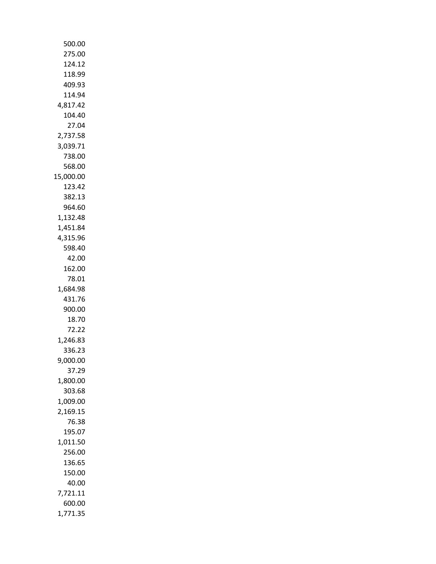| 500.00    |
|-----------|
| 275.00    |
|           |
| 124.12    |
| 118.99    |
| 409.93    |
| 114.94    |
| 4,817.42  |
| 104.40    |
| 27.04     |
| 2,737.58  |
| 3,039.71  |
| 738.00    |
| 568.00    |
| 15,000.00 |
| 123.42    |
| 382.13    |
| 964.60    |
| 1,132.48  |
| 1,451.84  |
| 4,315.96  |
|           |
| 598.40    |
| 42.00     |
| 162.00    |
| 78.01     |
| 1,684.98  |
| 431.76    |
| 900.00    |
| 18.70     |
| 72.22     |
| 1,246.83  |
| 336.23    |
| 9,000.00  |
| 37.29     |
| 1,800.00  |
| 303.68    |
| 1,009.00  |
| 2,169.15  |
| 76.38     |
| 195.07    |
| 1,011.50  |
| 256.00    |
| 136.65    |
| 150.00    |
|           |
| 40.00     |
| 7,721.11  |
| 600.00    |
| 1,771.35  |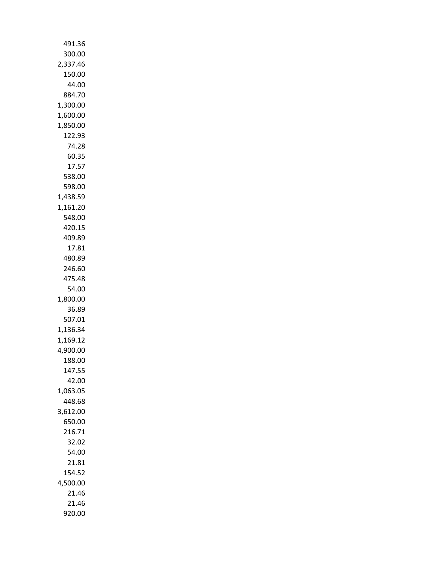| 491.36               |
|----------------------|
| 300.00               |
| 2,337.46             |
| 150.00               |
| 44.00                |
| 884.70               |
| 1,300.00             |
| 1,600.00             |
| 1,850.00             |
| 122.93<br>74.28      |
| 60.35                |
| 17.57                |
| 538.00               |
| 598.00               |
| 1,438.59             |
| 1,161.20             |
| 548.00               |
| 420.15               |
| 409.89               |
| 17.81                |
| 480.89               |
| 246.60               |
| 475.48               |
| 54.00                |
| 1,800.00             |
| 36.89                |
| 507.01               |
| 1,136.34             |
| 1,169.12<br>4,900.00 |
| 188.00               |
| 147.55               |
| 42.00                |
| 1,063.05             |
| 448.68               |
| 3,612.00             |
| 650.00               |
| 216.71               |
| 32.02                |
| 54.00                |
| 21.81                |
| 154.52               |
| 4,500.00             |
| 21.46                |
| 21.46                |
| 920.00               |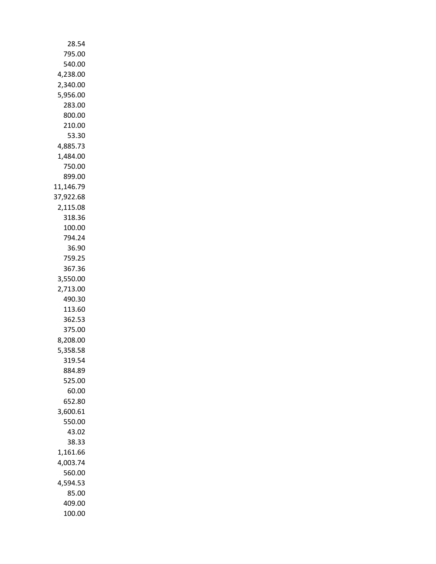| 28.54              |
|--------------------|
| 795.00             |
| 540.00             |
| 4,238.00           |
| 2,340.00           |
| 5,956.00           |
| 283.00             |
| 800.00             |
| 210.00             |
| 53.30              |
| 4,885.73           |
| 1,484.00           |
| 750.00             |
| 899.00             |
| 11,146.79          |
| 37,922.68          |
| 2,115.08           |
| 318.36             |
| 100.00             |
| 794.24             |
| 36.90              |
| 759.25             |
| 367.36             |
| 3,550.00           |
| 2,713.00<br>490.30 |
| 113.60             |
| 362.53             |
| 375.00             |
| 8,208.00           |
| 5,358.58           |
| 319.54             |
| 884.89             |
| 525.00             |
| 60.00              |
| 652.80             |
| 3,600.61           |
| 550.00             |
| 43.02              |
| 38.33              |
| 1,161.66           |
| 4,003.74           |
| 560.00             |
| 4,594.53           |
| 85.00              |
| 409.00             |
| 100.00             |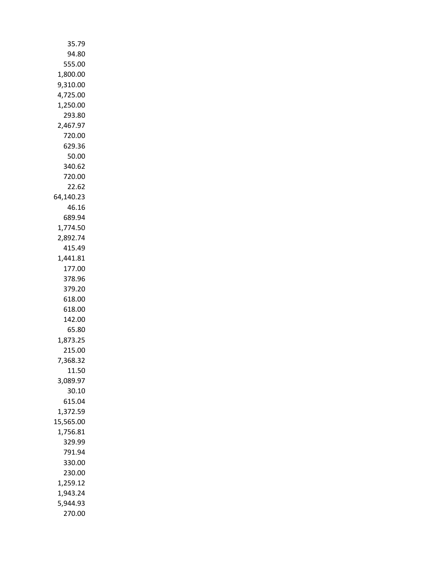| 35.79                |
|----------------------|
| 94.80                |
| 555.00               |
| 1,800.00             |
| 9,310.00             |
| 4,725.00             |
| 1,250.00             |
| 293.80               |
| 2,467.97<br>720.00   |
| 629.36               |
| 50.00                |
| 340.62               |
| 720.00               |
| 22.62                |
| 64,140.23            |
| 46.16                |
| 689.94               |
| 1,774.50             |
| 2,892.74             |
| 415.49               |
| 1,441.81             |
| 177.00               |
| 378.96               |
| 379.20               |
| 618.00<br>618.00     |
| 142.00               |
| 65.80                |
| 1,873.25             |
| 215.00               |
| 7,368.32             |
| 11.50                |
| 3,089.97             |
| 30.10                |
| 615.04               |
| 1,372.59             |
| 15,565.00            |
| 1,756.81             |
| 329.99               |
| 791.94               |
| 330.00               |
| 230.00               |
| 1,259.12<br>1,943.24 |
| 5,944.93             |
| 270.00               |
|                      |